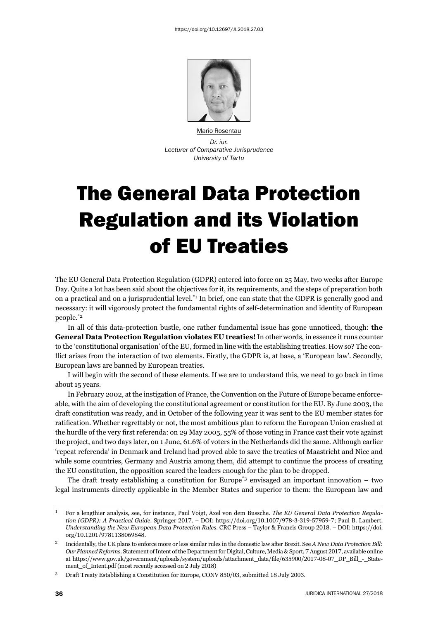

Mario Rosentau *Dr. iur. Lecturer of Comparative Jurisprudence University of Tartu*

## The General Data Protection Regulation and its Violation of EU Treaties

The EU General Data Protection Regulation (GDPR) entered into force on 25 May, two weeks after Europe Day. Quite a lot has been said about the objectives for it, its requirements, and the steps of preparation both on a practical and on a jurisprudential level.\*1 In brief, one can state that the GDPR is generally good and necessary: it will vigorously protect the fundamental rights of self-determination and identity of European people.\*2

In all of this data-protection bustle, one rather fundamental issue has gone unnoticed, though: **the General Data Protection Regulation violates EU treaties!** In other words, in essence it runs counter to the 'constitutional organisation' of the EU, formed in line with the establishing treaties. How so? The conflict arises from the interaction of two elements. Firstly, the GDPR is, at base, a 'European law'. Secondly, European laws are banned by European treaties.

I will begin with the second of these elements. If we are to understand this, we need to go back in time about 15 years.

In February 2002, at the instigation of France, the Convention on the Future of Europe became enforceable, with the aim of developing the constitutional agreement or constitution for the EU. By June 2003, the draft constitution was ready, and in October of the following year it was sent to the EU member states for ratification. Whether regrettably or not, the most ambitious plan to reform the European Union crashed at the hurdle of the very first referenda: on 29 May 2005, 55% of those voting in France cast their vote against the project, and two days later, on 1 June, 61.6% of voters in the Netherlands did the same. Although earlier 'repeat referenda' in Denmark and Ireland had proved able to save the treaties of Maastricht and Nice and while some countries, Germany and Austria among them, did attempt to continue the process of creating the EU constitution, the opposition scared the leaders enough for the plan to be dropped.

The draft treaty establishing a constitution for Europe<sup>\*3</sup> envisaged an important innovation – two legal instruments directly applicable in the Member States and superior to them: the European law and

ɲ For a lengthier analysis, see, for instance, Paul Voigt, Axel von dem Bussche. *The EU General Data Protection Regulation (GDPR): A Practical Guide.* Springer 2017. – DOI: https://doi.org/10.1007/978-3-319-57959-7; Paul B. Lambert. *Understanding the New European Data Protection Rules*. CRC Press – Taylor & Francis Group 2018. – DOI: https://doi. org/10.1201/9781138069848.

<sup>ɳ</sup> Incidentally, the UK plans to enforce more or less similar rules in the domestic law after Brexit. See *A New Data Protection Bill:*  Our Planned Reforms. Statement of Intent of the Department for Digital, Culture, Media & Sport, 7 August 2017, available online at https://www.gov.uk/government/uploads/system/uploads/attachment\_data/file/635900/2017-08-07\_DP\_Bill\_-\_Statement\_of\_Intent.pdf (most recently accessed on 2 July 2018)

<sup>&</sup>lt;sup>3</sup> Draft Treaty Establishing a Constitution for Europe, CONV 850/03, submitted 18 July 2003.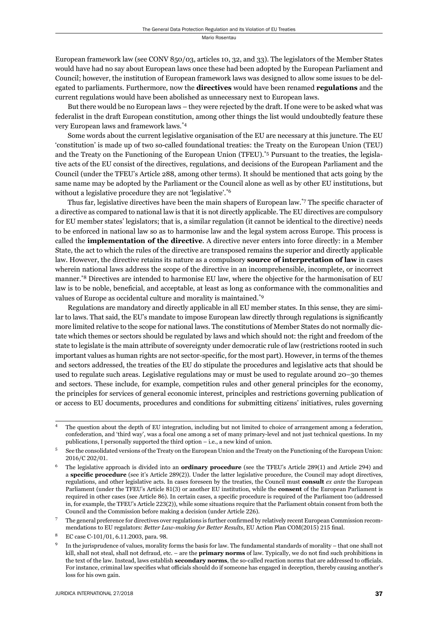European framework law (see CONV 850/03, articles 10, 32, and 33). The legislators of the Member States would have had no say about European laws once these had been adopted by the European Parliament and Council; however, the institution of European framework laws was designed to allow some issues to be delegated to parliaments. Furthermore, now the **directives** would have been renamed **regulations** and the current regulations would have been abolished as unnecessary next to European laws.

But there would be no European laws – they were rejected by the draft. If one were to be asked what was federalist in the draft European constitution, among other things the list would undoubtedly feature these very European laws and framework laws.\*4

Some words about the current legislative organisation of the EU are necessary at this juncture. The EU 'constitution' is made up of two so-called foundational treaties: the Treaty on the European Union (TEU) and the Treaty on the Functioning of the European Union (TFEU).\*5 Pursuant to the treaties, the legislative acts of the EU consist of the directives, regulations, and decisions of the European Parliament and the Council (under the TFEU's Article 288, among other terms). It should be mentioned that acts going by the same name may be adopted by the Parliament or the Council alone as well as by other EU institutions, but without a legislative procedure they are not 'legislative'.<sup>\*6</sup>

Thus far, legislative directives have been the main shapers of European law.<sup>\*7</sup> The specific character of a directive as compared to national law is that it is not directly applicable. The EU directives are compulsory for EU member states' legislators; that is, a similar regulation (it cannot be identical to the directive) needs to be enforced in national law so as to harmonise law and the legal system across Europe. This process is called the **implementation of the directive**. A directive never enters into force directly: in a Member State, the act to which the rules of the directive are transposed remains the superior and directly applicable law. However, the directive retains its nature as a compulsory **source of interpretation of law** in cases wherein national laws address the scope of the directive in an incomprehensible, incomplete, or incorrect manner.\*8 Directives are intended to harmonise EU law, where the objective for the harmonisation of EU law is to be noble, beneficial, and acceptable, at least as long as conformance with the commonalities and values of Europe as occidental culture and morality is maintained.\*9

Regulations are mandatory and directly applicable in all EU member states. In this sense, they are similar to laws. That said, the EU's mandate to impose European law directly through regulations is significantly more limited relative to the scope for national laws. The constitutions of Member States do not normally dictate which themes or sectors should be regulated by laws and which should not: the right and freedom of the state to legislate is the main attribute of sovereignty under democratic rule of law (restrictions rooted in such important values as human rights are not sector-specific, for the most part). However, in terms of the themes and sectors addressed, the treaties of the EU do stipulate the procedures and legislative acts that should be used to regulate such areas. Legislative regulations may or must be used to regulate around 20–30 themes and sectors. These include, for example, competition rules and other general principles for the economy, the principles for services of general economic interest, principles and restrictions governing publication of or access to EU documents, procedures and conditions for submitting citizens' initiatives, rules governing

<sup>ɵ</sup> The question about the depth of EU integration, including but not limited to choice of arrangement among a federation, confederation, and 'third way', was a focal one among a set of many primary-level and not just technical questions. In my publications, I personally supported the third option – i.e., a new kind of union.

<sup>ɶ</sup> See the consolidated versions of the Treaty on the European Union and the Treaty on the Functioning of the European Union: 2016/C 202/01.

The legislative approach is divided into an **ordinary procedure** (see the TFEU's Article 289(1) and Article 294) and a **specific procedure** (see it's Article 289(2)). Under the latter legislative procedure, the Council may adopt directives, regulations, and other legislative acts. In cases foreseen by the treaties, the Council must **consult** *ex ante* the European Parliament (under the TFEU's Article 81(3) or another EU institution, while the **consent** of the European Parliament is required in other cases (see Article 86). In certain cases, a specific procedure is required of the Parliament too (addressed in, for example, the TFEU's Article 223(2)), while some situations require that the Parliament obtain consent from both the Council and the Commission before making a decision (under Article 226).

The general preference for directives over regulations is further confirmed by relatively recent European Commission recommendations to EU regulators: *Better Law-making for Better Results*, EU Action Plan COM(2015) 215 final.

EC case C-101/01, 6.11.2003, para. 98.

In the jurisprudence of values, morality forms the basis for law. The fundamental standards of morality – that one shall not kill, shall not steal, shall not defraud, etc. – are the **primary norms** of law. Typically, we do not find such prohibitions in the text of the law. Instead, laws establish **secondary norms**, the so-called reaction norms that are addressed to officials. For instance, criminal law specifies what officials should do if someone has engaged in deception, thereby causing another's loss for his own gain.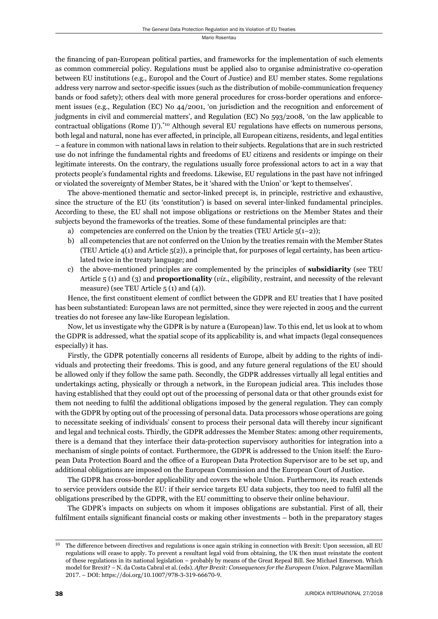the financing of pan-European political parties, and frameworks for the implementation of such elements as common commercial policy. Regulations must be applied also to organise administrative co-operation between EU institutions (e.g., Europol and the Court of Justice) and EU member states. Some regulations address very narrow and sector-specific issues (such as the distribution of mobile-communication frequency bands or food safety); others deal with more general procedures for cross-border operations and enforcement issues (e.g., Regulation (EC) No 44/2001, 'on jurisdiction and the recognition and enforcement of judgments in civil and commercial matters', and Regulation (EC) No 593/2008, 'on the law applicable to contractual obligations (Rome I)').<sup>\*10</sup> Although several EU regulations have effects on numerous persons, both legal and natural, none has ever affected, in principle, all European citizens, residents, and legal entities – a feature in common with national laws in relation to their subjects. Regulations that are in such restricted use do not infringe the fundamental rights and freedoms of EU citizens and residents or impinge on their legitimate interests. On the contrary, the regulations usually force professional actors to act in a way that protects people's fundamental rights and freedoms. Likewise, EU regulations in the past have not infringed or violated the sovereignty of Member States, be it 'shared with the Union' or 'kept to themselves'.

The above-mentioned thematic and sector-linked precept is, in principle, restrictive and exhaustive, since the structure of the EU (its 'constitution') is based on several inter-linked fundamental principles. According to these, the EU shall not impose obligations or restrictions on the Member States and their subjects beyond the frameworks of the treaties. Some of these fundamental principles are that:

- a) competencies are conferred on the Union by the treaties (TEU Article  $5(1-2)$ );
- b) all competencies that are not conferred on the Union by the treaties remain with the Member States (TEU Article 4(1) and Article 5(2)), a principle that, for purposes of legal certainty, has been articulated twice in the treaty language; and
- c) the above-mentioned principles are complemented by the principles of **subsidiarity** (see TEU Article 5 (1) and (3) and **proportionality** (*viz*., eligibility, restraint, and necessity of the relevant measure) (see TEU Article  $5(1)$  and  $(4)$ ).

Hence, the first constituent element of conflict between the GDPR and EU treaties that I have posited has been substantiated: European laws are not permitted, since they were rejected in 2005 and the current treaties do not foresee any law-like European legislation.

Now, let us investigate why the GDPR is by nature a (European) law. To this end, let us look at to whom the GDPR is addressed, what the spatial scope of its applicability is, and what impacts (legal consequences especially) it has.

Firstly, the GDPR potentially concerns all residents of Europe, albeit by adding to the rights of individuals and protecting their freedoms. This is good, and any future general regulations of the EU should be allowed only if they follow the same path. Secondly, the GDPR addresses virtually all legal entities and undertakings acting, physically or through a network, in the European judicial area. This includes those having established that they could opt out of the processing of personal data or that other grounds exist for them not needing to fulfi l the additional obligations imposed by the general regulation. They can comply with the GDPR by opting out of the processing of personal data. Data processors whose operations are going to necessitate seeking of individuals' consent to process their personal data will thereby incur significant and legal and technical costs. Thirdly, the GDPR addresses the Member States: among other requirements, there is a demand that they interface their data-protection supervisory authorities for integration into a mechanism of single points of contact. Furthermore, the GDPR is addressed to the Union itself: the European Data Protection Board and the office of a European Data Protection Supervisor are to be set up, and additional obligations are imposed on the European Commission and the European Court of Justice.

The GDPR has cross-border applicability and covers the whole Union. Furthermore, its reach extends to service providers outside the EU: if their service targets EU data subjects, they too need to fulfi l all the obligations prescribed by the GDPR, with the EU committing to observe their online behaviour.

The GDPR's impacts on subjects on whom it imposes obligations are substantial. First of all, their fulfilment entails significant financial costs or making other investments – both in the preparatory stages

 $10$  The difference between directives and regulations is once again striking in connection with Brexit: Upon secession, all EU regulations will cease to apply. To prevent a resultant legal void from obtaining, the UK then must reinstate the content of these regulations in its national legislation – probably by means of the Great Repeal Bill. See Michael Emerson. Which model for Brexit? – N. da Costa Cabral et al. (eds). *After Brexit: Consequences for the European Union*. Palgrave Macmillan 2017. – DOI: https://doi.org/10.1007/978-3-319-66670-9.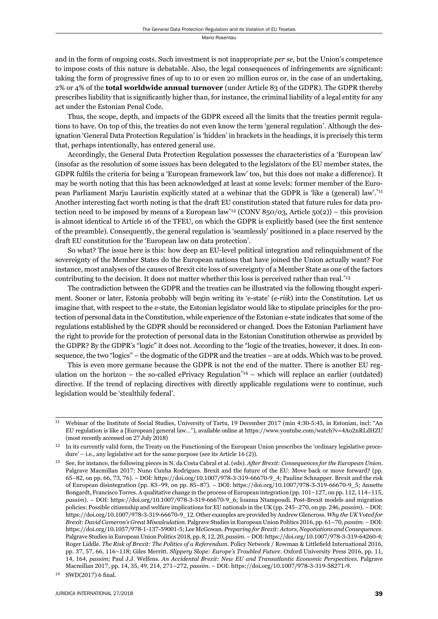and in the form of ongoing costs. Such investment is not inappropriate *per se*, but the Union's competence to impose costs of this nature is debatable. Also, the legal consequences of infringements are significant: taking the form of progressive fines of up to 10 or even 20 million euros or, in the case of an undertaking, 2% or 4% of the **total worldwide annual turnover** (under Article 83 of the GDPR). The GDPR thereby prescribes liability that is significantly higher than, for instance, the criminal liability of a legal entity for any act under the Estonian Penal Code.

Thus, the scope, depth, and impacts of the GDPR exceed all the limits that the treaties permit regulations to have. On top of this, the treaties do not even know the term 'general regulation'. Although the designation 'General Data Protection Regulation' is 'hidden' in brackets in the headings, it is precisely this term that, perhaps intentionally, has entered general use.

Accordingly, the General Data Protection Regulation possesses the characteristics of a 'European law' (insofar as the resolution of some issues has been delegated to the legislators of the EU member states, the GDPR fulfils the criteria for being a 'European framework law' too, but this does not make a difference). It may be worth noting that this has been acknowledged at least at some levels: former member of the European Parliament Marju Lauristin explicitly stated at a webinar that the GDPR is 'like a (general) law'.\*11 Another interesting fact worth noting is that the draft EU constitution stated that future rules for data protection need to be imposed by means of a European law<sup>\*12</sup> (CONV 850/03, Article 50(2)) – this provision is almost identical to Article 16 of the TFEU, on which the GDPR is explicitly based (see the first sentence of the preamble). Consequently, the general regulation is 'seamlessly' positioned in a place reserved by the draft EU constitution for the 'European law on data protection'.

So what? The issue here is this: how deep an EU-level political integration and relinquishment of the sovereignty of the Member States do the European nations that have joined the Union actually want? For instance, most analyses of the causes of Brexit cite loss of sovereignty of a Member State as one of the factors contributing to the decision. It does not matter whether this loss is perceived rather than real.<sup>\*13</sup>

The contradiction between the GDPR and the treaties can be illustrated via the following thought experiment. Sooner or later, Estonia probably will begin writing its 'e-state' (*e-riik*) into the Constitution. Let us imagine that, with respect to the e-state, the Estonian legislator would like to stipulate principles for the protection of personal data in the Constitution, while experience of the Estonian e-state indicates that some of the regulations established by the GDPR should be reconsidered or changed. Does the Estonian Parliament have the right to provide for the protection of personal data in the Estonian Constitution otherwise as provided by the GDPR? By the GDPR's "logic" it does not. According to the "logic of the treaties, however, it does. In consequence, the two "logics" – the dogmatic of the GDPR and the treaties – are at odds. Which was to be proved.

This is even more germane because the GDPR is not the end of the matter. There is another EU regulation on the horizon – the so-called ePrivacy Regulation<sup> $*14$ </sup> – which will replace an earlier (outdated) directive. If the trend of replacing directives with directly applicable regulations were to continue, such legislation would be 'stealthily federal'.

<sup>&</sup>lt;sup>11</sup> Webinar of the Institute of Social Studies, University of Tartu, 19 December 2017 (min 4:30-5:45, in Estonian, incl: "An EU regulation is like a [European] general law..."), available online at https://www.youtube.com/watch?v=4Ao2nRLdHZU (most recently accessed on  $27$  July  $2018$ )

<sup>&</sup>lt;sup>12</sup> In its currently valid form, the Treaty on the Functioning of the European Union prescribes the 'ordinary legislative procedure' – i.e., any legislative act for the same purpose (see its Article  $16(2)$ ).

See, for instance, the following pieces in N. da Costa Cabral et al. (eds). *After Brexit: Consequences for the European Union*. Palgrave Macmillan 2017: Nuno Cunha Rodrigues. Brexit and the future of the EU: Move back or move forward? (pp. 65-82, on pp. 66, 73, 76). – DOI: https://doi.org/10.1007/978-3-319-66670-9\_4; Pauline Schnapper. Brexit and the risk of European disintegration (pp. 83-99, on pp. 85-87). – DOI: https://doi.org/10.1007/978-3-319-66670-9\_5; Annette Bongardt, Francisco Torres. A qualitative change in the process of European integration (pp. 101-127, on pp. 112, 114-115, passim). – DOI: https://doi.org/10.1007/978-3-319-66670-9\_6; Ioanna Ntampoudi. Post-Brexit models and migration policies: Possible citizenship and welfare implications for EU nationals in the UK (pp. 245–270, on pp. 246, *passim*). – DOI: https://doi.org/10.1007/978-3-319-66670-9\_12. Other examples are provided by Andrew Glencross. *Why the UK Voted for Brexit: David Cameron's Great Miscalculation. Palgrave Studies in European Union Politics 2016, pp. 61–70, passim. – DOI:* https://doi.org/10.1057/978-1-137-59001-5; Lee McGowan. Preparing for Brexit: Actors, Negotiations and Consequences. Palgrave Studies in European Union Politics 2018, pp. 8, 12, 20, passim. – DOI: https://doi.org/10.1007/978-3-319-64260-4; Roger Liddle. *The Risk of Brexit: The Politics of a Referendum*. Policy Network / Rowman & Littlefield International 2016, pp. 37, 57, 66, 116-118; Giles Merritt. *Slippery Slope: Europe's Troubled Future*. Oxford University Press 2016, pp. 11, ɲɵ, ɲɷɵ, *passim*; Paul J.J. Welfens. *An Accidental Brexit: New EU and Transatlantic Economic Perspectives*. Palgrave Macmillan 2017, pp. 14, 35, 49, 214, 271-272, passim. - DOI: https://doi.org/10.1007/978-3-319-58271-9.

 $14$  SWD(2017) 6 final.